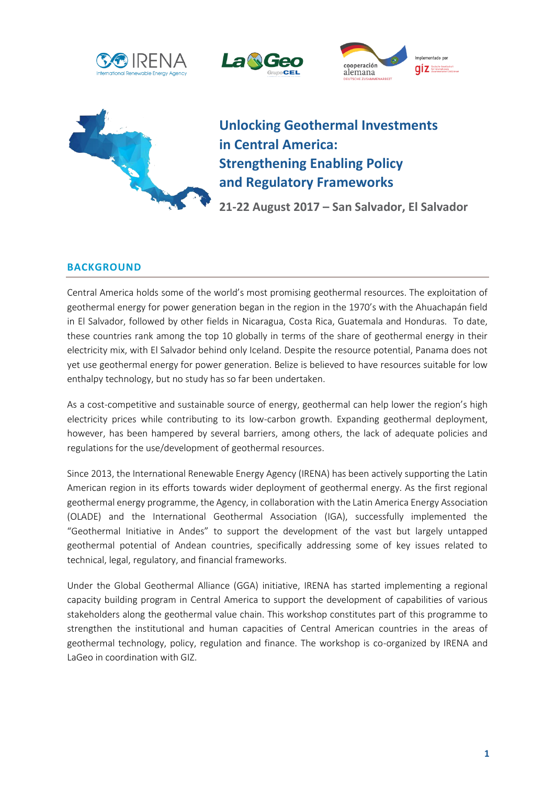







# **Unlocking Geothermal Investments in Central America: Strengthening Enabling Policy and Regulatory Frameworks**

**21-22 August 2017 – San Salvador, El Salvador**

# **BACKGROUND**

Central America holds some of the world's most promising geothermal resources. The exploitation of geothermal energy for power generation began in the region in the 1970's with the Ahuachapán field in El Salvador, followed by other fields in Nicaragua, Costa Rica, Guatemala and Honduras. To date, these countries rank among the top 10 globally in terms of the share of geothermal energy in their electricity mix, with El Salvador behind only Iceland. Despite the resource potential, Panama does not yet use geothermal energy for power generation. Belize is believed to have resources suitable for low enthalpy technology, but no study has so far been undertaken.

As a cost-competitive and sustainable source of energy, geothermal can help lower the region's high electricity prices while contributing to its low-carbon growth. Expanding geothermal deployment, however, has been hampered by several barriers, among others, the lack of adequate policies and regulations for the use/development of geothermal resources.

Since 2013, the International Renewable Energy Agency (IRENA) has been actively supporting the Latin American region in its efforts towards wider deployment of geothermal energy. As the first regional geothermal energy programme, the Agency, in collaboration with the Latin America Energy Association (OLADE) and the International Geothermal Association (IGA), successfully implemented the "Geothermal Initiative in Andes" to support the development of the vast but largely untapped geothermal potential of Andean countries, specifically addressing some of key issues related to technical, legal, regulatory, and financial frameworks.

Under the Global Geothermal Alliance (GGA) initiative, IRENA has started implementing a regional capacity building program in Central America to support the development of capabilities of various stakeholders along the geothermal value chain. This workshop constitutes part of this programme to strengthen the institutional and human capacities of Central American countries in the areas of geothermal technology, policy, regulation and finance. The workshop is co-organized by IRENA and LaGeo in coordination with GIZ.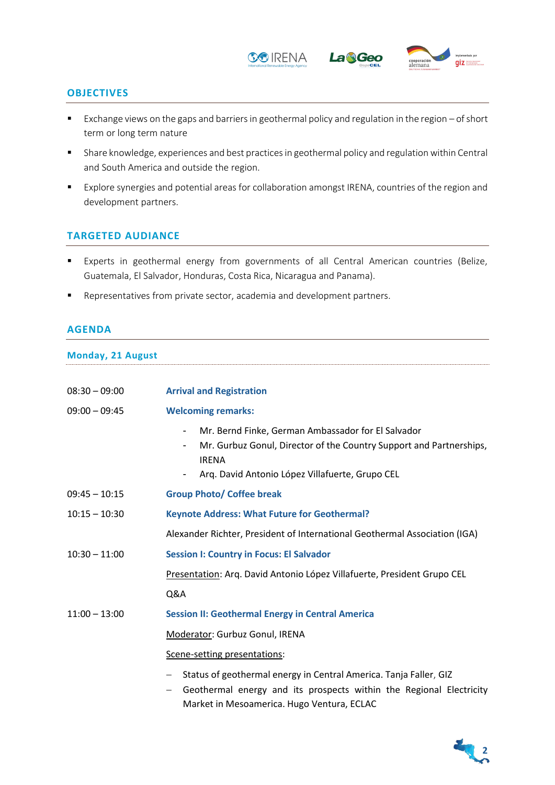



**La NGeo** 

## **OBJECTIVES**

- Exchange views on the gaps and barriers in geothermal policy and regulation in the region of short term or long term nature
- Share knowledge, experiences and best practices in geothermal policy and regulation within Central and South America and outside the region.
- Explore synergies and potential areas for collaboration amongst IRENA, countries of the region and development partners.

# **TARGETED AUDIANCE**

- Experts in geothermal energy from governments of all Central American countries (Belize, Guatemala, El Salvador, Honduras, Costa Rica, Nicaragua and Panama).
- Representatives from private sector, academia and development partners.

## **AGENDA**

#### **Monday, 21 August**

| $08:30 - 09:00$ | <b>Arrival and Registration</b>                                                                                                                                                                             |
|-----------------|-------------------------------------------------------------------------------------------------------------------------------------------------------------------------------------------------------------|
| $09:00 - 09:45$ | <b>Welcoming remarks:</b>                                                                                                                                                                                   |
|                 | Mr. Bernd Finke, German Ambassador for El Salvador<br>-<br>Mr. Gurbuz Gonul, Director of the Country Support and Partnerships,<br>-<br><b>IRENA</b><br>Arq. David Antonio López Villafuerte, Grupo CEL      |
| $09:45 - 10:15$ | <b>Group Photo/ Coffee break</b>                                                                                                                                                                            |
| $10:15 - 10:30$ | <b>Keynote Address: What Future for Geothermal?</b>                                                                                                                                                         |
|                 | Alexander Richter, President of International Geothermal Association (IGA)                                                                                                                                  |
| $10:30 - 11:00$ | <b>Session I: Country in Focus: El Salvador</b>                                                                                                                                                             |
|                 | Presentation: Arq. David Antonio López Villafuerte, President Grupo CEL                                                                                                                                     |
|                 | Q&A                                                                                                                                                                                                         |
| $11:00 - 13:00$ | <b>Session II: Geothermal Energy in Central America</b>                                                                                                                                                     |
|                 | Moderator: Gurbuz Gonul, IRENA                                                                                                                                                                              |
|                 | Scene-setting presentations:                                                                                                                                                                                |
|                 | Status of geothermal energy in Central America. Tanja Faller, GIZ<br>Geothermal energy and its prospects within the Regional Electricity<br>$\qquad \qquad -$<br>Market in Mesoamerica. Hugo Ventura, ECLAC |

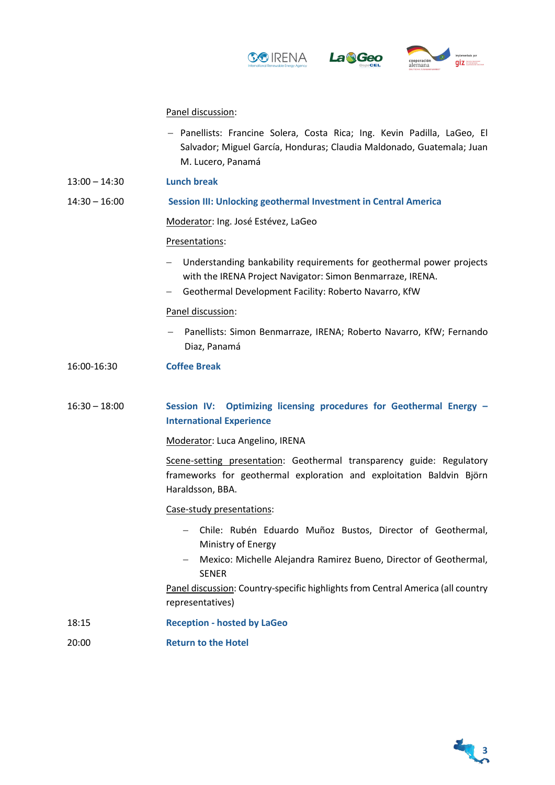



#### Panel discussion:

- Panellists: Francine Solera, Costa Rica; Ing. Kevin Padilla, LaGeo, El Salvador; Miguel García, Honduras; Claudia Maldonado, Guatemala; Juan M. Lucero, Panamá

**La NGeo** 

13:00 – 14:30 **Lunch break**

#### 14:30 – 16:00 **Session III: Unlocking geothermal Investment in Central America**

Moderator: Ing. José Estévez, LaGeo

Presentations:

- Understanding bankability requirements for geothermal power projects with the IRENA Project Navigator: Simon Benmarraze, IRENA.
- Geothermal Development Facility: Roberto Navarro, KfW

#### Panel discussion:

- Panellists: Simon Benmarraze, IRENA; Roberto Navarro, KfW; Fernando Diaz, Panamá
- 16:00-16:30 **Coffee Break**

### 16:30 – 18:00 **Session IV: Optimizing licensing procedures for Geothermal Energy – International Experience**

Moderator: Luca Angelino, IRENA

Scene-setting presentation: Geothermal transparency guide: Regulatory frameworks for geothermal exploration and exploitation Baldvin Björn Haraldsson, BBA.

#### Case-study presentations:

- Chile: Rubén Eduardo Muñoz Bustos, Director of Geothermal, Ministry of Energy
- Mexico: Michelle Alejandra Ramirez Bueno, Director of Geothermal, SENER

Panel discussion: Country-specific highlights from Central America (all country representatives)

18:15 **Reception ‐ hosted by LaGeo** 

20:00 **Return to the Hotel**